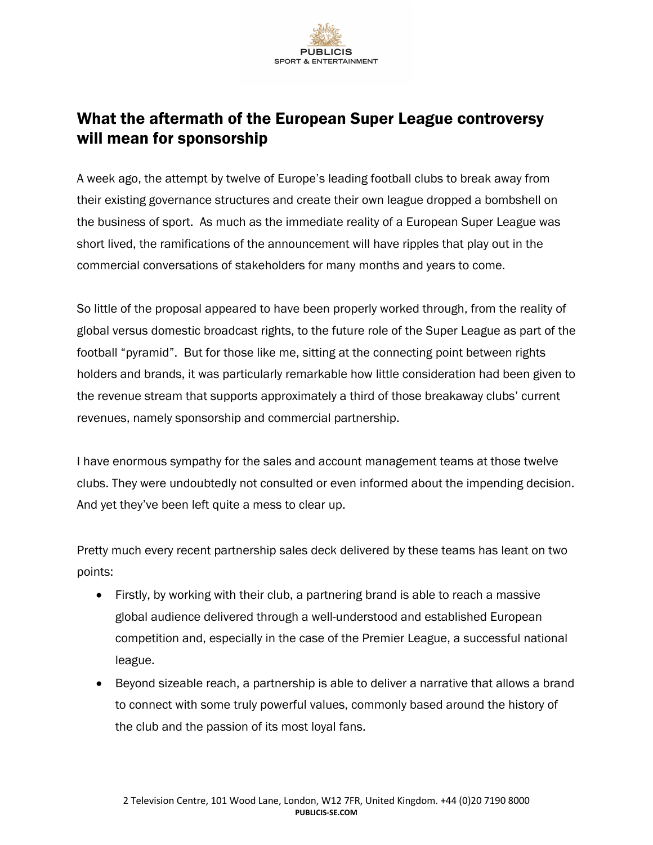

## What the aftermath of the European Super League controversy will mean for sponsorship

A week ago, the attempt by twelve of Europe's leading football clubs to break away from their existing governance structures and create their own league dropped a bombshell on the business of sport. As much as the immediate reality of a European Super League was short lived, the ramifications of the announcement will have ripples that play out in the commercial conversations of stakeholders for many months and years to come.

So little of the proposal appeared to have been properly worked through, from the reality of global versus domestic broadcast rights, to the future role of the Super League as part of the football "pyramid". But for those like me, sitting at the connecting point between rights holders and brands, it was particularly remarkable how little consideration had been given to the revenue stream that supports approximately a third of those breakaway clubs' current revenues, namely sponsorship and commercial partnership.

I have enormous sympathy for the sales and account management teams at those twelve clubs. They were undoubtedly not consulted or even informed about the impending decision. And yet they've been left quite a mess to clear up.

Pretty much every recent partnership sales deck delivered by these teams has leant on two points:

- Firstly, by working with their club, a partnering brand is able to reach a massive global audience delivered through a well-understood and established European competition and, especially in the case of the Premier League, a successful national league.
- Beyond sizeable reach, a partnership is able to deliver a narrative that allows a brand to connect with some truly powerful values, commonly based around the history of the club and the passion of its most loyal fans.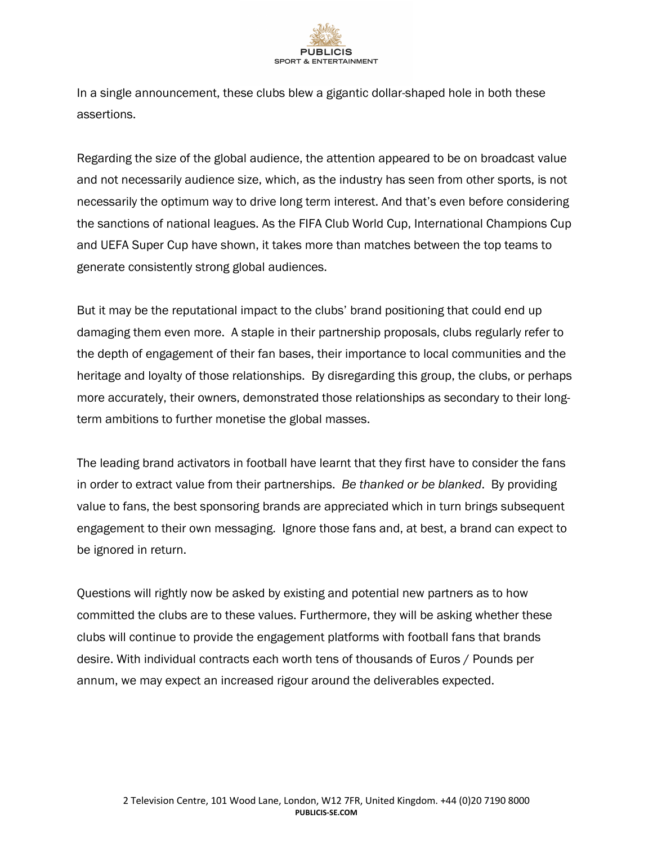

In a single announcement, these clubs blew a gigantic dollar-shaped hole in both these assertions.

Regarding the size of the global audience, the attention appeared to be on broadcast value and not necessarily audience size, which, as the industry has seen from other sports, is not necessarily the optimum way to drive long term interest. And that's even before considering the sanctions of national leagues. As the FIFA Club World Cup, International Champions Cup and UEFA Super Cup have shown, it takes more than matches between the top teams to generate consistently strong global audiences.

But it may be the reputational impact to the clubs' brand positioning that could end up damaging them even more. A staple in their partnership proposals, clubs regularly refer to the depth of engagement of their fan bases, their importance to local communities and the heritage and loyalty of those relationships. By disregarding this group, the clubs, or perhaps more accurately, their owners, demonstrated those relationships as secondary to their longterm ambitions to further monetise the global masses.

The leading brand activators in football have learnt that they first have to consider the fans in order to extract value from their partnerships. *Be thanked or be blanked*. By providing value to fans, the best sponsoring brands are appreciated which in turn brings subsequent engagement to their own messaging. Ignore those fans and, at best, a brand can expect to be ignored in return.

Questions will rightly now be asked by existing and potential new partners as to how committed the clubs are to these values. Furthermore, they will be asking whether these clubs will continue to provide the engagement platforms with football fans that brands desire. With individual contracts each worth tens of thousands of Euros / Pounds per annum, we may expect an increased rigour around the deliverables expected.